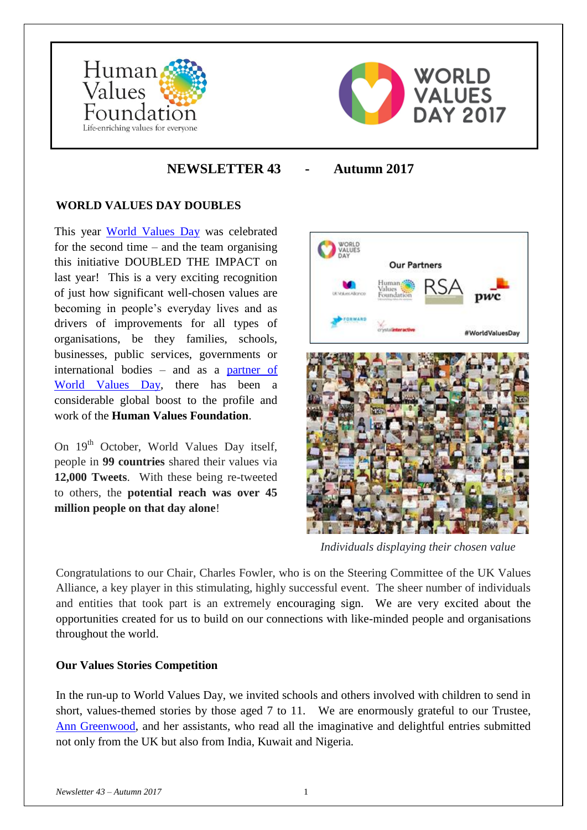



# **NEWSLETTER 43 - Autumn 2017**

### **WORLD VALUES DAY DOUBLES**

This year [World Values Day](https://www.worldvaluesday.com/) was celebrated for the second time – and the team organising this initiative DOUBLED THE IMPACT on last year! This is a very exciting recognition of just how significant well-chosen values are becoming in people's everyday lives and as drivers of improvements for all types of organisations, be they families, schools, businesses, public services, governments or international bodies – and as a [partner of](https://www.worldvaluesday.com/partners-and-supporters/)  [World Values Day,](https://www.worldvaluesday.com/partners-and-supporters/) there has been a considerable global boost to the profile and work of the **Human Values Foundation**.

On 19<sup>th</sup> October, World Values Day itself, people in **99 countries** shared their values via **12,000 Tweets**. With these being re-tweeted to others, the **potential reach was over 45 million people on that day alone**!



 *Individuals displaying their chosen value*

Congratulations to our Chair, Charles Fowler, who is on the Steering Committee of the UK Values Alliance, a key player in this stimulating, highly successful event. The sheer number of individuals and entities that took part is an extremely encouraging sign. We are very excited about the opportunities created for us to build on our connections with like-minded people and organisations throughout the world.

#### **Our Values Stories Competition**

In the run-up to World Values Day, we invited schools and others involved with children to send in short, values-themed stories by those aged 7 to 11. We are enormously grateful to our Trustee, [Ann Greenwood,](https://www.therainbowtreewales.co.uk/) and her assistants, who read all the imaginative and delightful entries submitted not only from the UK but also from India, Kuwait and Nigeria.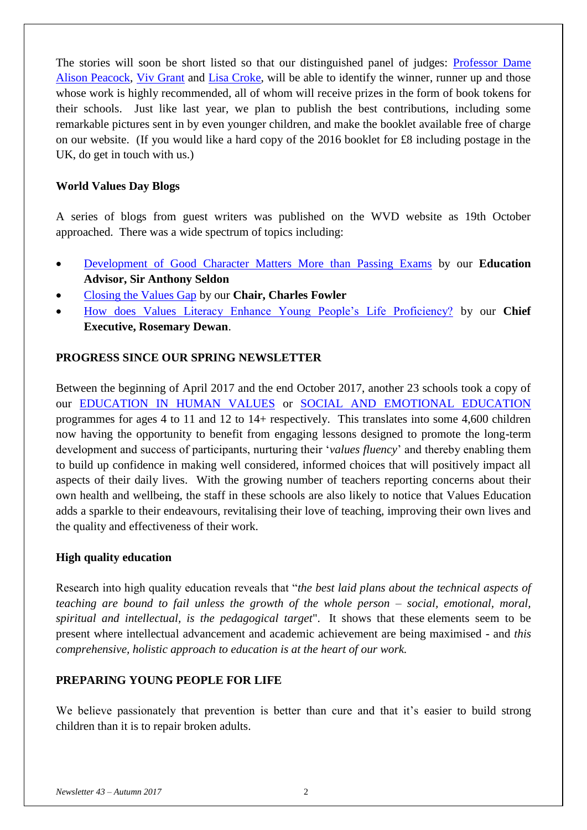The stories will soon be short listed so that our distinguished panel of judges: [Professor Dame](https://chartered.college/our_team/alison-peacock)  [Alison Peacock,](https://chartered.college/our_team/alison-peacock) [Viv Grant](http://www.integritycoaching.co.uk/) and [Lisa Croke,](http://www.thehambleschool.co.uk/headteachers-welcome/) will be able to identify the winner, runner up and those whose work is highly recommended, all of whom will receive prizes in the form of book tokens for their schools. Just like last year, we plan to publish the best contributions, including some remarkable pictures sent in by even younger children, and make the booklet available free of charge on our website. (If you would like a hard copy of the 2016 booklet for £8 including postage in the UK, do get in touch with us.)

### **World Values Day Blogs**

A series of blogs from guest writers was published on the WVD website as 19th October approached. There was a wide spectrum of topics including:

- [Development of Good Character Matters More than Passing Exams](https://www.worldvaluesday.com/good-character-matters-more-than-passing-exams-sir-anthony-seldon/) by our **Education Advisor, Sir Anthony Seldon**
- [Closing the Values Gap](https://www.worldvaluesday.com/closing-the-values-gap/) by our **Chair, Charles Fowler**
- [How does Values Literacy Enhance Young People's Life Proficiency?](https://www.worldvaluesday.com/values-literacy-enhance-young-peoples-life-proficiency-rosemary-dewan/) by our **Chief Executive, Rosemary Dewan**.

### **PROGRESS SINCE OUR SPRING NEWSLETTER**

Between the beginning of April 2017 and the end October 2017, another 23 schools took a copy of our [EDUCATION IN HUMAN VALUES](http://www.humanvaluesfoundation.com/ehv-overview.html) or [SOCIAL AND EMOTIONAL EDUCATION](http://www.humanvaluesfoundation.com/see-overview.html) programmes for ages 4 to 11 and 12 to 14+ respectively. This translates into some 4,600 children now having the opportunity to benefit from engaging lessons designed to promote the long-term development and success of participants, nurturing their '*values fluency*' and thereby enabling them to build up confidence in making well considered, informed choices that will positively impact all aspects of their daily lives. With the growing number of teachers reporting concerns about their own health and wellbeing, the staff in these schools are also likely to notice that Values Education adds a sparkle to their endeavours, revitalising their love of teaching, improving their own lives and the quality and effectiveness of their work.

### **High quality education**

Research into high quality education reveals that "*the best laid plans about the technical aspects of teaching are bound to fail unless the growth of the whole person – social, emotional, moral, spiritual and intellectual, is the pedagogical target*". It shows that these elements seem to be present where intellectual advancement and academic achievement are being maximised - and *this comprehensive, holistic approach to education is at the heart of our work.*

### **PREPARING YOUNG PEOPLE FOR LIFE**

We believe passionately that prevention is better than cure and that it's easier to build strong children than it is to repair broken adults.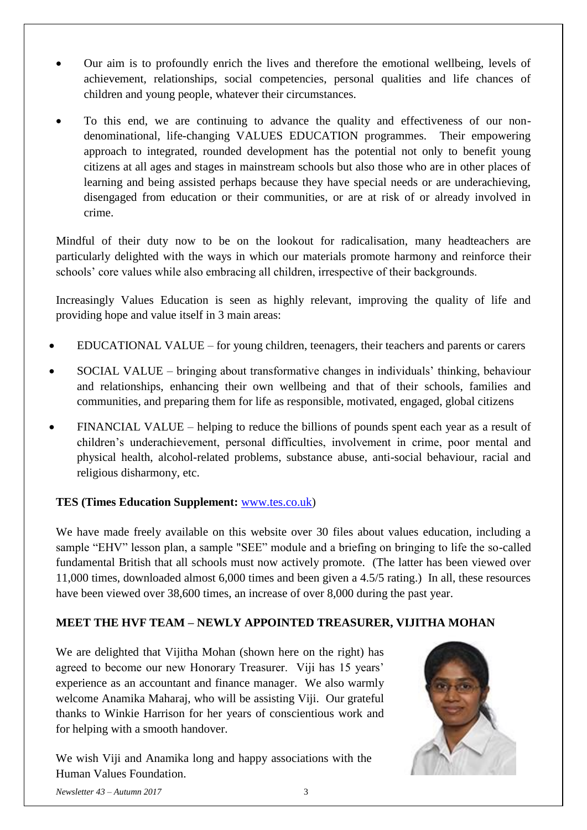- Our aim is to profoundly enrich the lives and therefore the emotional wellbeing, levels of achievement, relationships, social competencies, personal qualities and life chances of children and young people, whatever their circumstances.
- To this end, we are continuing to advance the quality and effectiveness of our nondenominational, life-changing VALUES EDUCATION programmes. Their empowering approach to integrated, rounded development has the potential not only to benefit young citizens at all ages and stages in mainstream schools but also those who are in other places of learning and being assisted perhaps because they have special needs or are underachieving, disengaged from education or their communities, or are at risk of or already involved in crime.

Mindful of their duty now to be on the lookout for radicalisation, many headteachers are particularly delighted with the ways in which our materials promote harmony and reinforce their schools' core values while also embracing all children, irrespective of their backgrounds.

Increasingly Values Education is seen as highly relevant, improving the quality of life and providing hope and value itself in 3 main areas:

- EDUCATIONAL VALUE for young children, teenagers, their teachers and parents or carers
- SOCIAL VALUE bringing about transformative changes in individuals' thinking, behaviour and relationships, enhancing their own wellbeing and that of their schools, families and communities, and preparing them for life as responsible, motivated, engaged, global citizens
- FINANCIAL VALUE helping to reduce the billions of pounds spent each year as a result of children's underachievement, personal difficulties, involvement in crime, poor mental and physical health, alcohol-related problems, substance abuse, anti-social behaviour, racial and religious disharmony, etc.

# **TES (Times Education Supplement:** [www.tes.co.uk\)](http://www.tes.com/teaching-resource/bringing-the-fundamental-british-values-to-life-11073496)

We have made freely available on this website over 30 files about values education, including a sample "EHV" lesson plan, a sample "SEE" module and a briefing on bringing to life the so-called fundamental British that all schools must now actively promote. (The latter has been viewed over 11,000 times, downloaded almost 6,000 times and been given a 4.5/5 rating.) In all, these resources have been viewed over 38,600 times, an increase of over 8,000 during the past year.

# **MEET THE HVF TEAM – NEWLY APPOINTED TREASURER, VIJITHA MOHAN**

We are delighted that Vijitha Mohan (shown here on the right) has agreed to become our new Honorary Treasurer. Viji has 15 years' experience as an accountant and finance manager. We also warmly welcome Anamika Maharaj, who will be assisting Viji. Our grateful thanks to Winkie Harrison for her years of conscientious work and for helping with a smooth handover.

We wish Viji and Anamika long and happy associations with the Human Values Foundation.



*Newsletter 43 – Autumn 2017* 3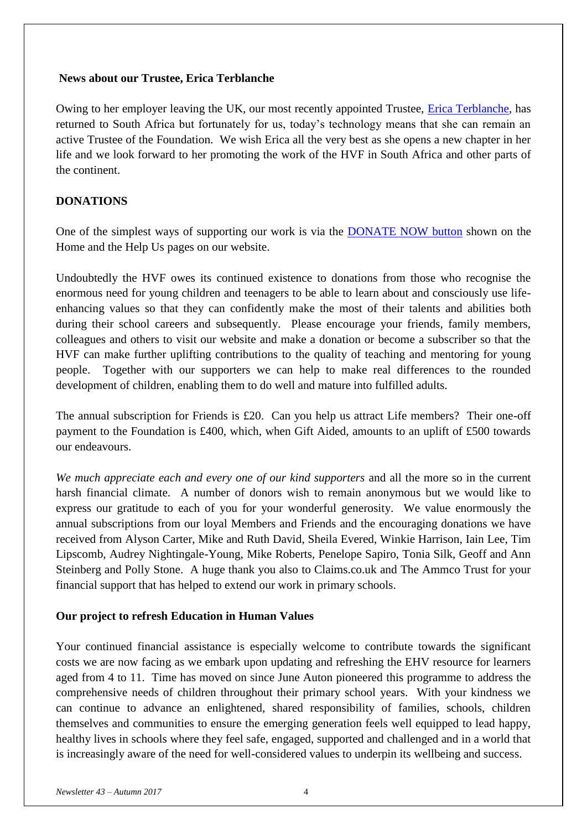#### **News about our Trustee, Erica Terblanche**

Owing to her employer leaving the UK, our most recently appointed Trustee, *Erica Terblanche*, has returned to South Africa but fortunately for us, today's technology means that she can remain an active Trustee of the Foundation. We wish Erica all the very best as she opens a new chapter in her life and we look forward to her promoting the work of the HVF in South Africa and other parts of the continent.

#### **DONATIONS**

One of the simplest ways of supporting our work is via the **DONATE NOW** button shown on the Home and the Help Us pages on our website.

Undoubtedly the HVF owes its continued existence to donations from those who recognise the enormous need for young children and teenagers to be able to learn about and consciously use lifeenhancing values so that they can confidently make the most of their talents and abilities both during their school careers and subsequently. Please encourage your friends, family members, colleagues and others to visit our website and make a donation or become a subscriber so that the HVF can make further uplifting contributions to the quality of teaching and mentoring for young people. Together with our supporters we can help to make real differences to the rounded development of children, enabling them to do well and mature into fulfilled adults.

The annual subscription for Friends is £20. Can you help us attract Life members? Their one-off payment to the Foundation is £400, which, when Gift Aided, amounts to an uplift of £500 towards our endeavours.

*We much appreciate each and every one of our kind supporters* and all the more so in the current harsh financial climate. A number of donors wish to remain anonymous but we would like to express our gratitude to each of you for your wonderful generosity. We value enormously the annual subscriptions from our loyal Members and Friends and the encouraging donations we have received from Alyson Carter, Mike and Ruth David, Sheila Evered, Winkie Harrison, Iain Lee, Tim Lipscomb, Audrey Nightingale-Young, Mike Roberts, Penelope Sapiro, Tonia Silk, Geoff and Ann Steinberg and Polly Stone. A huge thank you also to Claims.co.uk and The Ammco Trust for your financial support that has helped to extend our work in primary schools.

### **Our project to refresh Education in Human Values**

Your continued financial assistance is especially welcome to contribute towards the significant costs we are now facing as we embark upon updating and refreshing the EHV resource for learners aged from 4 to 11. Time has moved on since June Auton pioneered this programme to address the comprehensive needs of children throughout their primary school years. With your kindness we can continue to advance an enlightened, shared responsibility of families, schools, children themselves and communities to ensure the emerging generation feels well equipped to lead happy, healthy lives in schools where they feel safe, engaged, supported and challenged and in a world that is increasingly aware of the need for well-considered values to underpin its wellbeing and success.